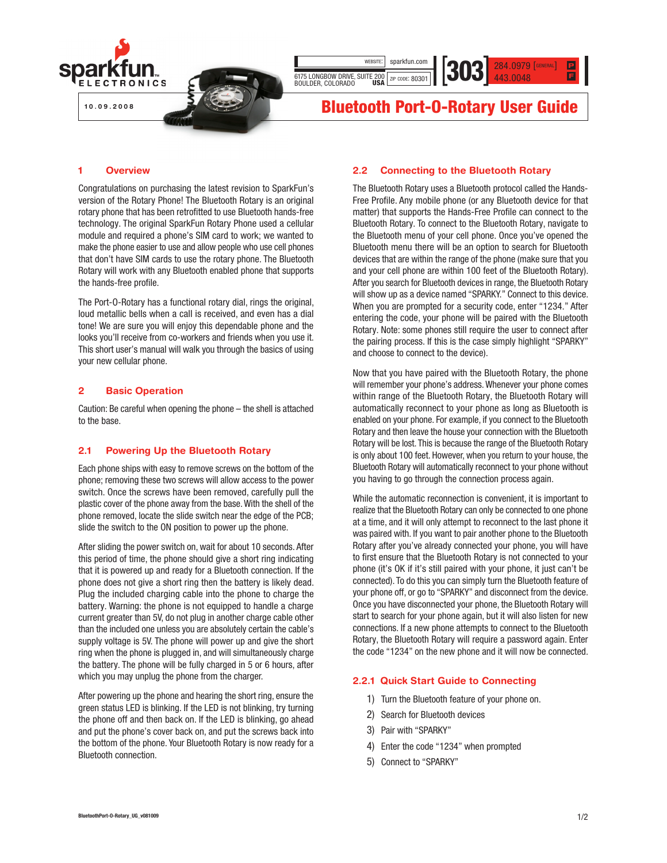

#### 1 Overview

Congratulations on purchasing the latest revision to SparkFun's version of the Rotary Phone! The Bluetooth Rotary is an original rotary phone that has been retrofitted to use Bluetooth hands-free technology. The original SparkFun Rotary Phone used a cellular module and required a phone's SIM card to work; we wanted to make the phone easier to use and allow people who use cell phones that don't have SIM cards to use the rotary phone. The Bluetooth Rotary will work with any Bluetooth enabled phone that supports the hands-free profile.

The Port-O-Rotary has a functional rotary dial, rings the original, loud metallic bells when a call is received, and even has a dial tone! We are sure you will enjoy this dependable phone and the looks you'll receive from co-workers and friends when you use it. This short user's manual will walk you through the basics of using your new cellular phone.

#### 2 Basic Operation

Caution: Be careful when opening the phone – the shell is attached to the base.

# 2.1 Powering Up the Bluetooth Rotary

Each phone ships with easy to remove screws on the bottom of the phone; removing these two screws will allow access to the power switch. Once the screws have been removed, carefully pull the plastic cover of the phone away from the base. With the shell of the phone removed, locate the slide switch near the edge of the PCB; slide the switch to the ON position to power up the phone.

After sliding the power switch on, wait for about 10 seconds. After this period of time, the phone should give a short ring indicating that it is powered up and ready for a Bluetooth connection. If the phone does not give a short ring then the battery is likely dead. Plug the included charging cable into the phone to charge the battery. Warning: the phone is not equipped to handle a charge current greater than 5V, do not plug in another charge cable other than the included one unless you are absolutely certain the cable's supply voltage is 5V. The phone will power up and give the short ring when the phone is plugged in, and will simultaneously charge the battery. The phone will be fully charged in 5 or 6 hours, after which you may unplug the phone from the charger.

After powering up the phone and hearing the short ring, ensure the green status LED is blinking. If the LED is not blinking, try turning the phone off and then back on. If the LED is blinking, go ahead and put the phone's cover back on, and put the screws back into the bottom of the phone. Your Bluetooth Rotary is now ready for a Bluetooth connection.

# 2.2 Connecting to the Bluetooth Rotary

The Bluetooth Rotary uses a Bluetooth protocol called the Hands-Free Profile. Any mobile phone (or any Bluetooth device for that matter) that supports the Hands-Free Profile can connect to the Bluetooth Rotary. To connect to the Bluetooth Rotary, navigate to the Bluetooth menu of your cell phone. Once you've opened the Bluetooth menu there will be an option to search for Bluetooth devices that are within the range of the phone (make sure that you and your cell phone are within 100 feet of the Bluetooth Rotary). After you search for Bluetooth devices in range, the Bluetooth Rotary will show up as a device named "SPARKY." Connect to this device. When you are prompted for a security code, enter "1234." After entering the code, your phone will be paired with the Bluetooth Rotary. Note: some phones still require the user to connect after the pairing process. If this is the case simply highlight "SPARKY" and choose to connect to the device).

Now that you have paired with the Bluetooth Rotary, the phone will remember your phone's address. Whenever your phone comes within range of the Bluetooth Rotary, the Bluetooth Rotary will automatically reconnect to your phone as long as Bluetooth is enabled on your phone. For example, if you connect to the Bluetooth Rotary and then leave the house your connection with the Bluetooth Rotary will be lost. This is because the range of the Bluetooth Rotary is only about 100 feet. However, when you return to your house, the Bluetooth Rotary will automatically reconnect to your phone without you having to go through the connection process again.

While the automatic reconnection is convenient, it is important to realize that the Bluetooth Rotary can only be connected to one phone at a time, and it will only attempt to reconnect to the last phone it was paired with. If you want to pair another phone to the Bluetooth Rotary after you've already connected your phone, you will have to first ensure that the Bluetooth Rotary is not connected to your phone (it's OK if it's still paired with your phone, it just can't be connected). To do this you can simply turn the Bluetooth feature of your phone off, or go to "SPARKY" and disconnect from the device. Once you have disconnected your phone, the Bluetooth Rotary will start to search for your phone again, but it will also listen for new connections. If a new phone attempts to connect to the Bluetooth Rotary, the Bluetooth Rotary will require a password again. Enter the code "1234" on the new phone and it will now be connected.

# 2.2.1 Quick Start Guide to Connecting

- 1) Turn the Bluetooth feature of your phone on.
- 2) Search for Bluetooth devices
- 3) Pair with "SPARKY"
- 4) Enter the code "1234" when prompted
- 5) Connect to "SPARKY"